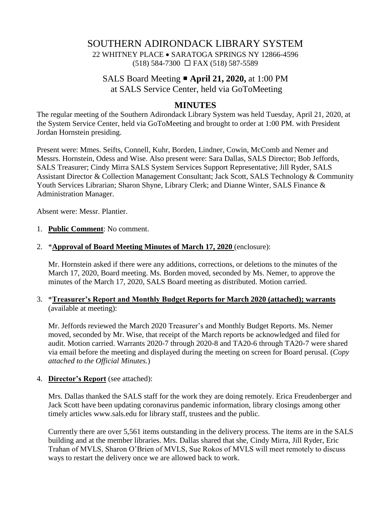# SOUTHERN ADIRONDACK LIBRARY SYSTEM 22 WHITNEY PLACE • SARATOGA SPRINGS NY 12866-4596 (518) 584-7300 FAX (518) 587-5589

# SALS Board Meeting **April 21, 2020,** at 1:00 PM at SALS Service Center, held via GoToMeeting

## **MINUTES**

The regular meeting of the Southern Adirondack Library System was held Tuesday, April 21, 2020, at the System Service Center, held via GoToMeeting and brought to order at 1:00 PM. with President Jordan Hornstein presiding.

Present were: Mmes. Seifts, Connell, Kuhr, Borden, Lindner, Cowin, McComb and Nemer and Messrs. Hornstein, Odess and Wise. Also present were: Sara Dallas, SALS Director; Bob Jeffords, SALS Treasurer; Cindy Mirra SALS System Services Support Representative; Jill Ryder, SALS Assistant Director & Collection Management Consultant; Jack Scott, SALS Technology & Community Youth Services Librarian; Sharon Shyne, Library Clerk; and Dianne Winter, SALS Finance & Administration Manager.

Absent were: Messr. Plantier.

#### 1. **Public Comment**: No comment.

#### 2. \***Approval of Board Meeting Minutes of March 17, 2020** (enclosure):

Mr. Hornstein asked if there were any additions, corrections, or deletions to the minutes of the March 17, 2020, Board meeting. Ms. Borden moved, seconded by Ms. Nemer, to approve the minutes of the March 17, 2020, SALS Board meeting as distributed. Motion carried.

### 3. \***Treasurer's Report and Monthly Budget Reports for March 2020 (attached); warrants** (available at meeting):

Mr. Jeffords reviewed the March 2020 Treasurer's and Monthly Budget Reports. Ms. Nemer moved, seconded by Mr. Wise, that receipt of the March reports be acknowledged and filed for audit. Motion carried. Warrants 2020-7 through 2020-8 and TA20-6 through TA20-7 were shared via email before the meeting and displayed during the meeting on screen for Board perusal. (*Copy attached to the Official Minutes.*)

#### 4. **Director's Report** (see attached):

Mrs. Dallas thanked the SALS staff for the work they are doing remotely. Erica Freudenberger and Jack Scott have been updating coronavirus pandemic information, library closings among other timely articles www.sals.edu for library staff, trustees and the public.

Currently there are over 5,561 items outstanding in the delivery process. The items are in the SALS building and at the member libraries. Mrs. Dallas shared that she, Cindy Mirra, Jill Ryder, Eric Trahan of MVLS, Sharon O'Brien of MVLS, Sue Rokos of MVLS will meet remotely to discuss ways to restart the delivery once we are allowed back to work.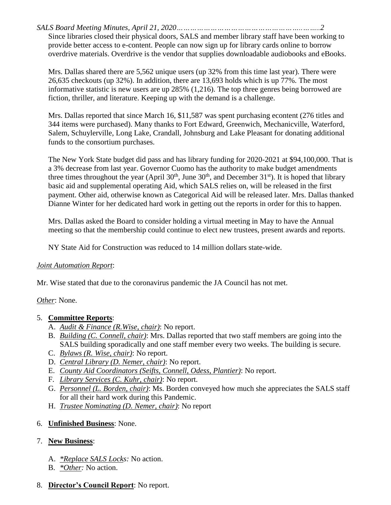*SALS Board Meeting Minutes, April 21, 2020………………………………………………..……..2* Since libraries closed their physical doors, SALS and member library staff have been working to provide better access to e-content. People can now sign up for library cards online to borrow overdrive materials. Overdrive is the vendor that supplies downloadable audiobooks and eBooks.

Mrs. Dallas shared there are 5,562 unique users (up 32% from this time last year). There were 26,635 checkouts (up 32%). In addition, there are 13,693 holds which is up 77%. The most informative statistic is new users are up 285% (1,216). The top three genres being borrowed are fiction, thriller, and literature. Keeping up with the demand is a challenge.

Mrs. Dallas reported that since March 16, \$11,587 was spent purchasing econtent (276 titles and 344 items were purchased). Many thanks to Fort Edward, Greenwich, Mechanicville, Waterford, Salem, Schuylerville, Long Lake, Crandall, Johnsburg and Lake Pleasant for donating additional funds to the consortium purchases.

The New York State budget did pass and has library funding for 2020-2021 at \$94,100,000. That is a 3% decrease from last year. Governor Cuomo has the authority to make budget amendments three times throughout the year (April  $30<sup>th</sup>$ , June  $30<sup>th</sup>$ , and December  $31<sup>st</sup>$ ). It is hoped that library basic aid and supplemental operating Aid, which SALS relies on, will be released in the first payment. Other aid, otherwise known as Categorical Aid will be released later. Mrs. Dallas thanked Dianne Winter for her dedicated hard work in getting out the reports in order for this to happen.

Mrs. Dallas asked the Board to consider holding a virtual meeting in May to have the Annual meeting so that the membership could continue to elect new trustees, present awards and reports.

NY State Aid for Construction was reduced to 14 million dollars state-wide.

### *Joint Automation Report*:

Mr. Wise stated that due to the coronavirus pandemic the JA Council has not met.

*Other*: None.

## 5. **Committee Reports**:

- A. *Audit & Finance (R.Wise, chair)*: No report.
- B. *Building (C. Connell, chair)*: Mrs. Dallas reported that two staff members are going into the SALS building sporadically and one staff member every two weeks. The building is secure.
- C. *Bylaws (R. Wise, chair)*: No report.
- D. *Central Library (D. Nemer, chair)*: No report.
- E. *County Aid Coordinators (Seifts, Connell, Odess, Plantier)*: No report.
- F. *Library Services (C. Kuhr, chair)*: No report.
- G. *Personnel (L. Borden, chair)*: Ms. Borden conveyed how much she appreciates the SALS staff for all their hard work during this Pandemic.
- H. *Trustee Nominating (D. Nemer, chair)*: No report

## 6. **Unfinished Business**: None.

## 7. **New Business**:

- A. *\*Replace SALS Locks:* No action.
- B. *\*Other:* No action.
- 8. **Director's Council Report**: No report.